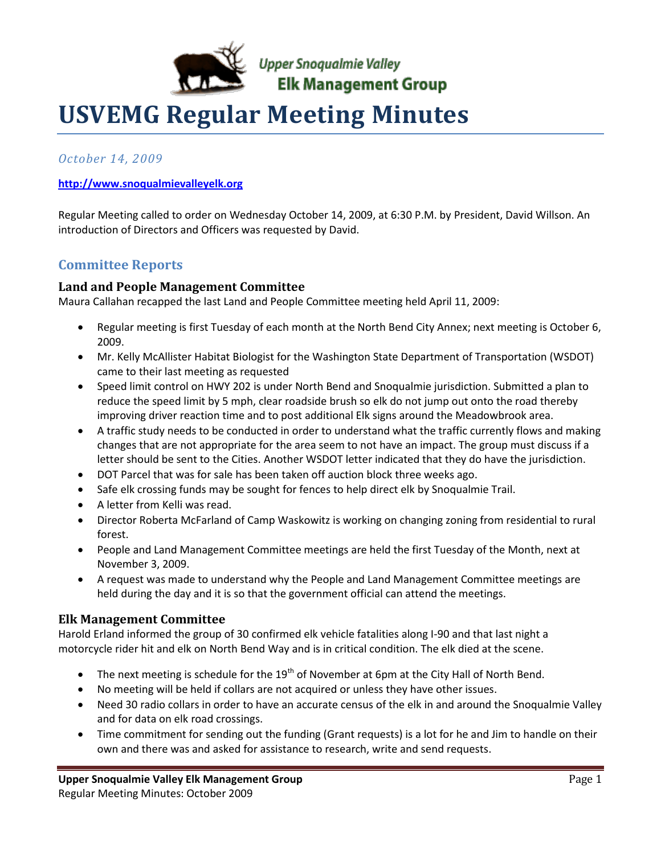

Upper Snoqualmie Valley<br>**Elk Management Group** 

# **USVEMG Regular Meeting Minutes**

*October 14, 2009*

# **[http://www.snoqualmievalleyelk.org](http://www.snoqualmievalleyelk.org/)**

Regular Meeting called to order on Wednesday October 14, 2009, at 6:30 P.M. by President, David Willson. An introduction of Directors and Officers was requested by David.

# **Committee Reports**

# **Land and People Management Committee**

Maura Callahan recapped the last Land and People Committee meeting held April 11, 2009:

- Regular meeting is first Tuesday of each month at the North Bend City Annex; next meeting is October 6, 2009.
- Mr. Kelly McAllister Habitat Biologist for the Washington State Department of Transportation (WSDOT) came to their last meeting as requested
- Speed limit control on HWY 202 is under North Bend and Snoqualmie jurisdiction. Submitted a plan to reduce the speed limit by 5 mph, clear roadside brush so elk do not jump out onto the road thereby improving driver reaction time and to post additional Elk signs around the Meadowbrook area.
- A traffic study needs to be conducted in order to understand what the traffic currently flows and making changes that are not appropriate for the area seem to not have an impact. The group must discuss if a letter should be sent to the Cities. Another WSDOT letter indicated that they do have the jurisdiction.
- DOT Parcel that was for sale has been taken off auction block three weeks ago.
- Safe elk crossing funds may be sought for fences to help direct elk by Snoqualmie Trail.
- A letter from Kelli was read.
- Director Roberta McFarland of Camp Waskowitz is working on changing zoning from residential to rural forest.
- People and Land Management Committee meetings are held the first Tuesday of the Month, next at November 3, 2009.
- A request was made to understand why the People and Land Management Committee meetings are held during the day and it is so that the government official can attend the meetings.

# **Elk Management Committee**

Harold Erland informed the group of 30 confirmed elk vehicle fatalities along I-90 and that last night a motorcycle rider hit and elk on North Bend Way and is in critical condition. The elk died at the scene.

- The next meeting is schedule for the  $19<sup>th</sup>$  of November at 6pm at the City Hall of North Bend.
- No meeting will be held if collars are not acquired or unless they have other issues.
- Need 30 radio collars in order to have an accurate census of the elk in and around the Snoqualmie Valley and for data on elk road crossings.
- Time commitment for sending out the funding (Grant requests) is a lot for he and Jim to handle on their own and there was and asked for assistance to research, write and send requests.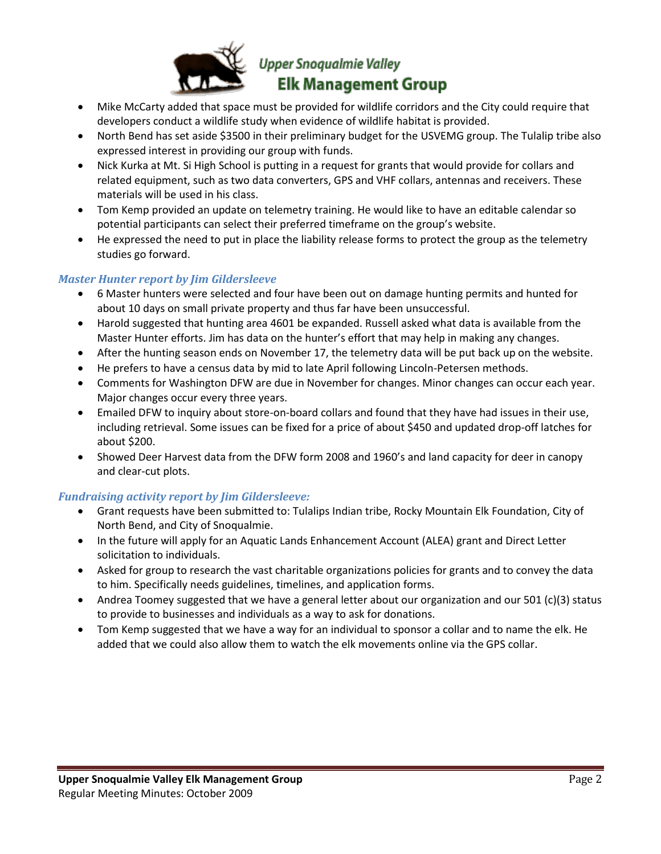

# **Upper Snoqualmie Valley Elk Management Group**

- Mike McCarty added that space must be provided for wildlife corridors and the City could require that developers conduct a wildlife study when evidence of wildlife habitat is provided.
- North Bend has set aside \$3500 in their preliminary budget for the USVEMG group. The Tulalip tribe also expressed interest in providing our group with funds.
- Nick Kurka at Mt. Si High School is putting in a request for grants that would provide for collars and related equipment, such as two data converters, GPS and VHF collars, antennas and receivers. These materials will be used in his class.
- Tom Kemp provided an update on telemetry training. He would like to have an editable calendar so potential participants can select their preferred timeframe on the group's website.
- He expressed the need to put in place the liability release forms to protect the group as the telemetry studies go forward.

# *Master Hunter report by Jim Gildersleeve*

- 6 Master hunters were selected and four have been out on damage hunting permits and hunted for about 10 days on small private property and thus far have been unsuccessful.
- Harold suggested that hunting area 4601 be expanded. Russell asked what data is available from the Master Hunter efforts. Jim has data on the hunter's effort that may help in making any changes.
- After the hunting season ends on November 17, the telemetry data will be put back up on the website.
- He prefers to have a census data by mid to late April following Lincoln-Petersen methods.
- Comments for Washington DFW are due in November for changes. Minor changes can occur each year. Major changes occur every three years.
- Emailed DFW to inquiry about store-on-board collars and found that they have had issues in their use, including retrieval. Some issues can be fixed for a price of about \$450 and updated drop-off latches for about \$200.
- Showed Deer Harvest data from the DFW form 2008 and 1960's and land capacity for deer in canopy and clear-cut plots.

## *Fundraising activity report by Jim Gildersleeve:*

- Grant requests have been submitted to: Tulalips Indian tribe, Rocky Mountain Elk Foundation, City of North Bend, and City of Snoqualmie.
- In the future will apply for an Aquatic Lands Enhancement Account (ALEA) grant and Direct Letter solicitation to individuals.
- Asked for group to research the vast charitable organizations policies for grants and to convey the data to him. Specifically needs guidelines, timelines, and application forms.
- Andrea Toomey suggested that we have a general letter about our organization and our 501 (c)(3) status to provide to businesses and individuals as a way to ask for donations.
- Tom Kemp suggested that we have a way for an individual to sponsor a collar and to name the elk. He added that we could also allow them to watch the elk movements online via the GPS collar.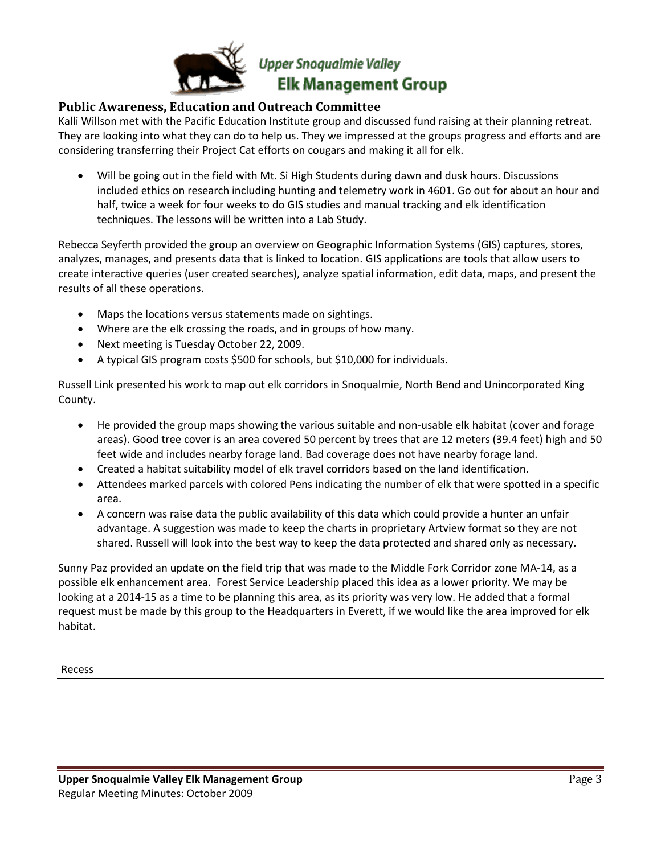

# **Upper Snoqualmie Valley Elk Management Group**

# **Public Awareness, Education and Outreach Committee**

Kalli Willson met with the Pacific Education Institute group and discussed fund raising at their planning retreat. They are looking into what they can do to help us. They we impressed at the groups progress and efforts and are considering transferring their Project Cat efforts on cougars and making it all for elk.

 Will be going out in the field with Mt. Si High Students during dawn and dusk hours. Discussions included ethics on research including hunting and telemetry work in 4601. Go out for about an hour and half, twice a week for four weeks to do GIS studies and manual tracking and elk identification techniques. The lessons will be written into a Lab Study.

Rebecca Seyferth provided the group an overview on Geographic Information Systems (GIS) captures, stores, analyzes, manages, and presents data that is linked to location. GIS applications are tools that allow users to create interactive queries (user created searches), analyze spatial information, edit data, maps, and present the results of all these operations.

- Maps the locations versus statements made on sightings.
- Where are the elk crossing the roads, and in groups of how many.
- Next meeting is Tuesday October 22, 2009.
- A typical GIS program costs \$500 for schools, but \$10,000 for individuals.

Russell Link presented his work to map out elk corridors in Snoqualmie, North Bend and Unincorporated King County.

- He provided the group maps showing the various suitable and non-usable elk habitat (cover and forage areas). Good tree cover is an area covered 50 percent by trees that are 12 meters (39.4 feet) high and 50 feet wide and includes nearby forage land. Bad coverage does not have nearby forage land.
- Created a habitat suitability model of elk travel corridors based on the land identification.
- Attendees marked parcels with colored Pens indicating the number of elk that were spotted in a specific area.
- A concern was raise data the public availability of this data which could provide a hunter an unfair advantage. A suggestion was made to keep the charts in proprietary Artview format so they are not shared. Russell will look into the best way to keep the data protected and shared only as necessary.

Sunny Paz provided an update on the field trip that was made to the Middle Fork Corridor zone MA-14, as a possible elk enhancement area. Forest Service Leadership placed this idea as a lower priority. We may be looking at a 2014-15 as a time to be planning this area, as its priority was very low. He added that a formal request must be made by this group to the Headquarters in Everett, if we would like the area improved for elk habitat.

Recess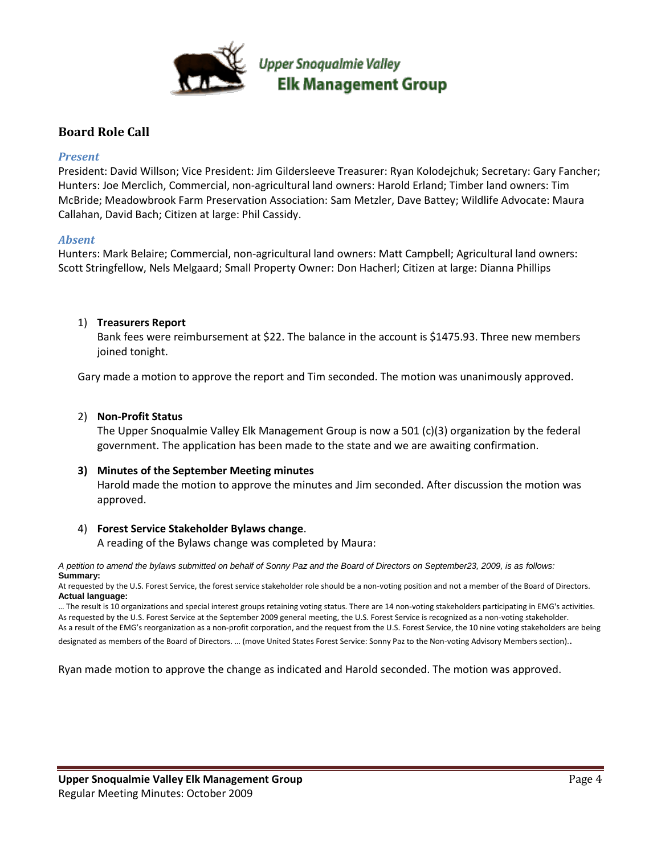

# **Board Role Call**

#### *Present*

President: David Willson; Vice President: Jim Gildersleeve Treasurer: Ryan Kolodejchuk; Secretary: Gary Fancher; Hunters: Joe Merclich, Commercial, non-agricultural land owners: Harold Erland; Timber land owners: Tim McBride; Meadowbrook Farm Preservation Association: Sam Metzler, Dave Battey; Wildlife Advocate: Maura Callahan, David Bach; Citizen at large: Phil Cassidy.

#### *Absent*

Hunters: Mark Belaire; Commercial, non-agricultural land owners: Matt Campbell; Agricultural land owners: Scott Stringfellow, Nels Melgaard; Small Property Owner: Don Hacherl; Citizen at large: Dianna Phillips

## 1) **Treasurers Report**

Bank fees were reimbursement at \$22. The balance in the account is \$1475.93. Three new members joined tonight.

Gary made a motion to approve the report and Tim seconded. The motion was unanimously approved.

#### 2) **Non-Profit Status**

The Upper Snoqualmie Valley Elk Management Group is now a 501 (c)(3) organization by the federal government. The application has been made to the state and we are awaiting confirmation.

## **3) Minutes of the September Meeting minutes**

Harold made the motion to approve the minutes and Jim seconded. After discussion the motion was approved.

## 4) **Forest Service Stakeholder Bylaws change**.

A reading of the Bylaws change was completed by Maura:

*A petition to amend the bylaws submitted on behalf of Sonny Paz and the Board of Directors on September23, 2009, is as follows:* **Summary:**

At requested by the U.S. Forest Service, the forest service stakeholder role should be a non-voting position and not a member of the Board of Directors. **Actual language:**

… The result is 10 organizations and special interest groups retaining voting status. There are 14 non-voting stakeholders participating in EMG's activities. As requested by the U.S. Forest Service at the September 2009 general meeting, the U.S. Forest Service is recognized as a non-voting stakeholder. As a result of the EMG's reorganization as a non-profit corporation, and the request from the U.S. Forest Service, the 10 nine voting stakeholders are being designated as members of the Board of Directors. … (move United States Forest Service: Sonny Paz to the Non-voting Advisory Members section)..

Ryan made motion to approve the change as indicated and Harold seconded. The motion was approved.